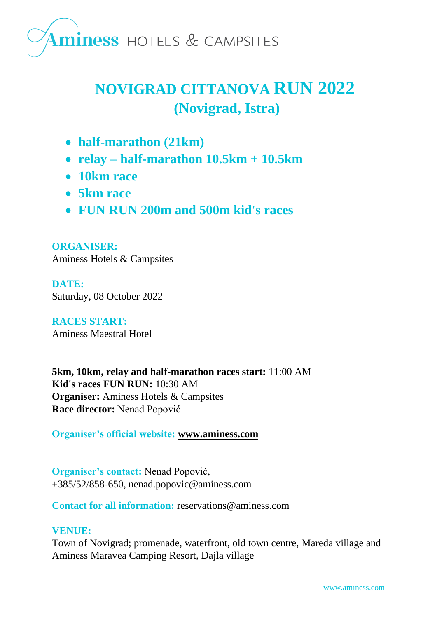

### **NOVIGRAD CITTANOVA RUN 2022 (Novigrad, Istra)**

- **half-marathon (21km)**
- **relay – half-marathon 10.5km + 10.5km**
- **10km race**
- **5km race**
- **FUN RUN 200m and 500m kid's races**

**ORGANISER:** Aminess Hotels & Campsites

**DATE:** Saturday, 08 October 2022

**RACES START:** Aminess Maestral Hotel

**5km, 10km, relay and half-marathon races start:** 11:00 AM **Kid's races FUN RUN:** 10:30 AM **Organiser:** Aminess Hotels & Campsites **Race director:** Nenad Popović

**Organiser's official website: [www.aminess.com](http://www.aminess.com/)**

**Organiser's contact:** Nenad Popović, +385/52/858-650, nenad.popovic@aminess.com

**Contact for all information:** reservations@aminess.com

#### **VENUE:**

Town of Novigrad; promenade, waterfront, old town centre, Mareda village and Aminess Maravea Camping Resort, Dajla village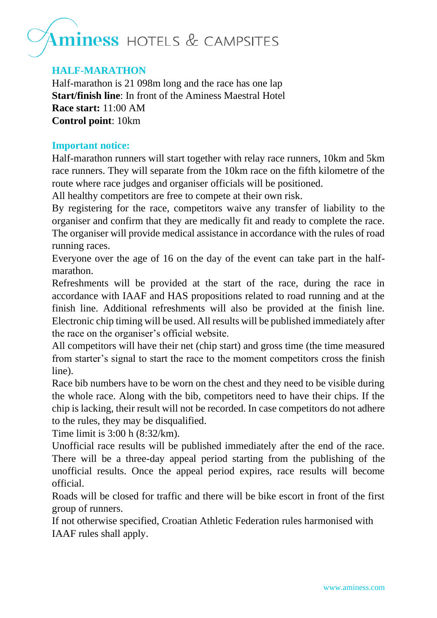#### **HALF-MARATHON**

Half-marathon is 21 098m long and the race has one lap **Start/finish line**: In front of the Aminess Maestral Hotel **Race start:** 11:00 AM **Control point**: 10km

#### **Important notice:**

Half-marathon runners will start together with relay race runners, 10km and 5km race runners. They will separate from the 10km race on the fifth kilometre of the route where race judges and organiser officials will be positioned.

All healthy competitors are free to compete at their own risk.

By registering for the race, competitors waive any transfer of liability to the organiser and confirm that they are medically fit and ready to complete the race. The organiser will provide medical assistance in accordance with the rules of road running races.

Everyone over the age of 16 on the day of the event can take part in the halfmarathon.

Refreshments will be provided at the start of the race, during the race in accordance with IAAF and HAS propositions related to road running and at the finish line. Additional refreshments will also be provided at the finish line. Electronic chip timing will be used. All results will be published immediately after the race on the organiser's official website.

All competitors will have their net (chip start) and gross time (the time measured from starter's signal to start the race to the moment competitors cross the finish line).

Race bib numbers have to be worn on the chest and they need to be visible during the whole race. Along with the bib, competitors need to have their chips. If the chip is lacking, their result will not be recorded. In case competitors do not adhere to the rules, they may be disqualified.

Time limit is 3:00 h (8:32/km).

Unofficial race results will be published immediately after the end of the race. There will be a three-day appeal period starting from the publishing of the unofficial results. Once the appeal period expires, race results will become official.

Roads will be closed for traffic and there will be bike escort in front of the first group of runners.

If not otherwise specified, Croatian Athletic Federation rules harmonised with IAAF rules shall apply.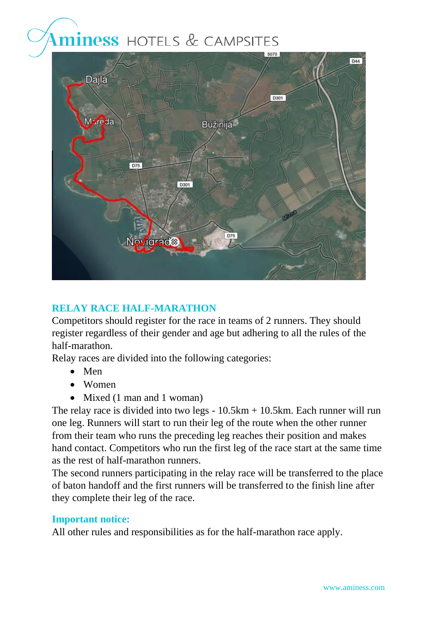

#### **RELAY RACE HALF-MARATHON**

Competitors should register for the race in teams of 2 runners. They should register regardless of their gender and age but adhering to all the rules of the half-marathon.

Relay races are divided into the following categories:

- Men
- Women
- Mixed (1 man and 1 woman)

The relay race is divided into two legs - 10.5km + 10.5km. Each runner will run one leg. Runners will start to run their leg of the route when the other runner from their team who runs the preceding leg reaches their position and makes hand contact. Competitors who run the first leg of the race start at the same time as the rest of half-marathon runners.

The second runners participating in the relay race will be transferred to the place of baton handoff and the first runners will be transferred to the finish line after they complete their leg of the race.

#### **Important notice:**

All other rules and responsibilities as for the half-marathon race apply.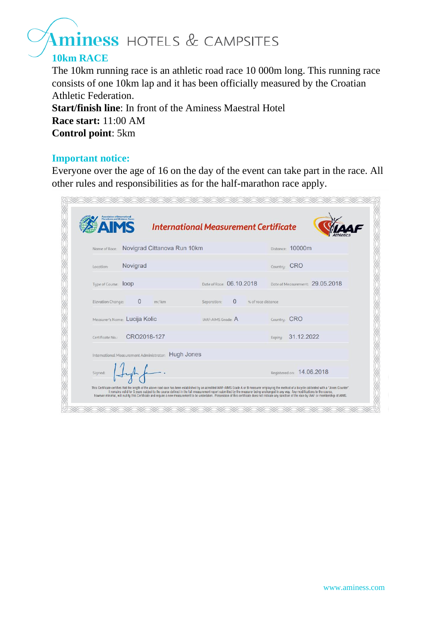#### **10km RACE**

The 10km running race is an athletic road race 10 000m long. This running race consists of one 10km lap and it has been officially measured by the Croatian Athletic Federation.

**Start/finish line**: In front of the Aminess Maestral Hotel **Race start:** 11:00 AM **Control point**: 5km

#### **Important notice:**

Everyone over the age of 16 on the day of the event can take part in the race. All other rules and responsibilities as for the half-marathon race apply.

|                             |                                                     | <b>International Measurement Certificate</b>                                                                                                                                     |                                                                                                                                                                                                             |  |  |
|-----------------------------|-----------------------------------------------------|----------------------------------------------------------------------------------------------------------------------------------------------------------------------------------|-------------------------------------------------------------------------------------------------------------------------------------------------------------------------------------------------------------|--|--|
|                             | Name of Race: Novigrad Cittanova Run 10km           |                                                                                                                                                                                  | Distance: 10000m                                                                                                                                                                                            |  |  |
| Location:                   | Novigrad                                            |                                                                                                                                                                                  | Country: CRO                                                                                                                                                                                                |  |  |
| Tupe of Course: <b>lOOD</b> |                                                     | Date of Race: 06.10.2018                                                                                                                                                         | Date of Measurement: 29.05.2018                                                                                                                                                                             |  |  |
| Elevation Change:           | $\Omega$<br>m/km                                    | $\Omega$<br>Separation:                                                                                                                                                          | % of race distance                                                                                                                                                                                          |  |  |
|                             | Measurer's Name: Lucija Kolic                       | IAAF-AIMS Grade: A                                                                                                                                                               | Country: CRO                                                                                                                                                                                                |  |  |
| Certificate No.:            | CRO2018-127                                         |                                                                                                                                                                                  | 31.12.2022<br>Expiru:                                                                                                                                                                                       |  |  |
|                             | International Measurement Administrator: Hugh Jones |                                                                                                                                                                                  |                                                                                                                                                                                                             |  |  |
| Signed:                     |                                                     |                                                                                                                                                                                  | Registered on: 14.06.2018                                                                                                                                                                                   |  |  |
|                             |                                                     | It remains valid for 5 years subject to the course defined in the full measurement report submitted by the measurer being unchanged in any way. Any modifications to the course, | This Certificate certifies that the length of the above road race has been established by an acredited IAAF-AIMS Grade A or B measurer employing the method of a bicycle calibrated with a "Jones Counter". |  |  |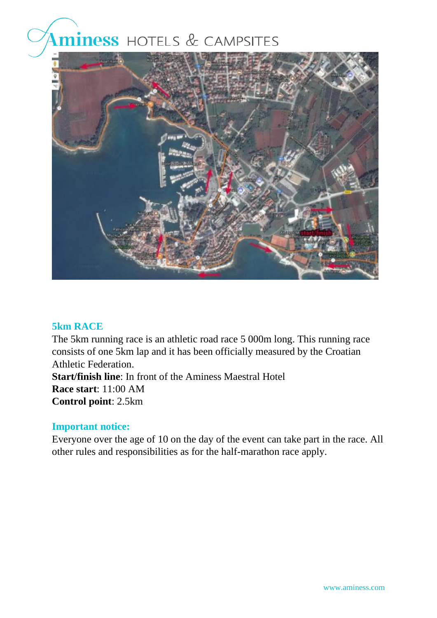

#### **5km RACE**

The 5km running race is an athletic road race 5 000m long. This running race consists of one 5km lap and it has been officially measured by the Croatian Athletic Federation. **Start/finish line**: In front of the Aminess Maestral Hotel **Race start**: 11:00 AM **Control point**: 2.5km

#### **Important notice:**

Everyone over the age of 10 on the day of the event can take part in the race. All other rules and responsibilities as for the half-marathon race apply.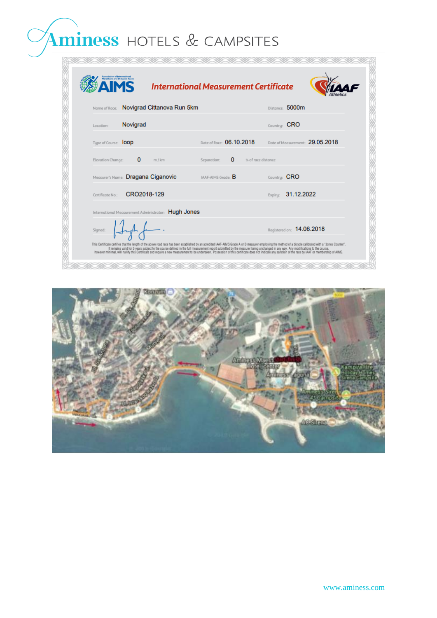| ociation of International | <b>IMS</b>                                          | <b>International Measurement Certificate</b>                                                                                                                                     |                                                                                                                                                                                                                                                                                                                                                                                                                        |
|---------------------------|-----------------------------------------------------|----------------------------------------------------------------------------------------------------------------------------------------------------------------------------------|------------------------------------------------------------------------------------------------------------------------------------------------------------------------------------------------------------------------------------------------------------------------------------------------------------------------------------------------------------------------------------------------------------------------|
|                           | Name of Race: Novigrad Cittanova Run 5km            |                                                                                                                                                                                  | Distance: 5000m                                                                                                                                                                                                                                                                                                                                                                                                        |
| Location:                 | Novigrad                                            |                                                                                                                                                                                  | Country: CRO                                                                                                                                                                                                                                                                                                                                                                                                           |
| Type of Course: loop      |                                                     | Date of Race: 06.10.2018                                                                                                                                                         | Date of Measurement: 29.05.2018                                                                                                                                                                                                                                                                                                                                                                                        |
| Elevation Change:         | $\bf{0}$<br>m / km                                  | $\Omega$<br>Separation:                                                                                                                                                          | % of race distance                                                                                                                                                                                                                                                                                                                                                                                                     |
|                           | Measurer's Name: Dragana Ciganovic                  | IAAF-AIMS Grade: B                                                                                                                                                               | Country: CRO                                                                                                                                                                                                                                                                                                                                                                                                           |
| Certificate No:           | CRO2018-129                                         |                                                                                                                                                                                  | 31.12.2022<br>Expiru:                                                                                                                                                                                                                                                                                                                                                                                                  |
|                           | International Measurement Administrator: Hugh Jones |                                                                                                                                                                                  |                                                                                                                                                                                                                                                                                                                                                                                                                        |
| Signed:                   |                                                     |                                                                                                                                                                                  | Registered on: 14.06.2018                                                                                                                                                                                                                                                                                                                                                                                              |
|                           |                                                     | It remains valid for 5 years subject to the course defined in the full measurement report submitted by the measurer being unchanged in any way. Any modifications to the course, | This Certificate certifies that the length of the above road race has been established by an acredited IAAF-AIMS Grade A or B measurer employing the method of a bicycle calibrated with a "Jones Counter".<br>however minimal, will nullify this Certificate and require a new measurement to be undertaken. Possession of this certificate does not indicate any sanction of the race by IAAF or membership of AIMS. |

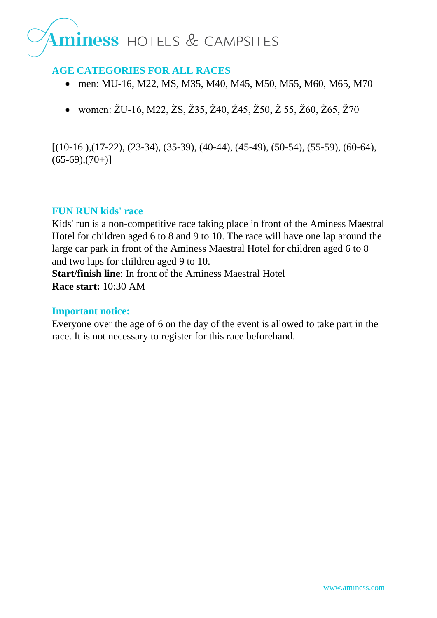#### **AGE CATEGORIES FOR ALL RACES**

- men: MU-16, M22, MS, M35, M40, M45, M50, M55, M60, M65, M70
- women: ŽU-16, M22, ŽS, Ž35, Ž40, Ž45, Ž50, Ž 55, Ž60, Ž65, Ž70

 $[(10-16), (17-22), (23-34), (35-39), (40-44), (45-49), (50-54), (55-59), (60-64),$  $(65-69)(70+1)$ 

#### **FUN RUN kids' race**

Kids' run is a non-competitive race taking place in front of the Aminess Maestral Hotel for children aged 6 to 8 and 9 to 10. The race will have one lap around the large car park in front of the Aminess Maestral Hotel for children aged 6 to 8 and two laps for children aged 9 to 10. **Start/finish line**: In front of the Aminess Maestral Hotel

**Race start:** 10:30 AM

#### **Important notice:**

Everyone over the age of 6 on the day of the event is allowed to take part in the race. It is not necessary to register for this race beforehand.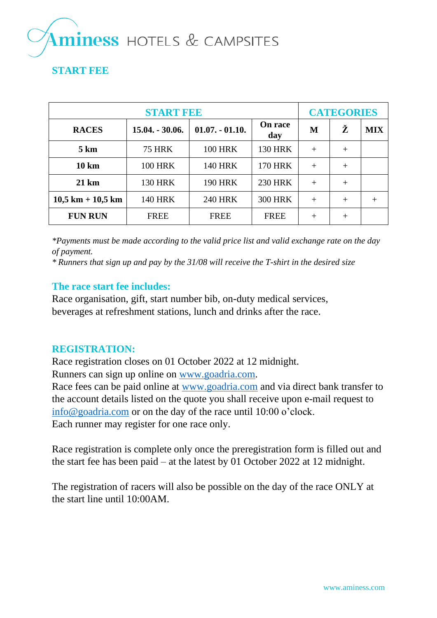#### **START FEE**

| <b>START FEE</b>      |                   |                   |                       |        | <b>CATEGORIES</b> |            |  |
|-----------------------|-------------------|-------------------|-----------------------|--------|-------------------|------------|--|
| <b>RACES</b>          | $15.04. - 30.06.$ | $01.07. - 01.10.$ | <b>On race</b><br>day | M      | Ž                 | <b>MIX</b> |  |
| $5 \mathrm{km}$       | <b>75 HRK</b>     | <b>100 HRK</b>    | <b>130 HRK</b>        | $+$    | $^{+}$            |            |  |
| $10 \mathrm{km}$      | <b>100 HRK</b>    | <b>140 HRK</b>    | <b>170 HRK</b>        | $^{+}$ | $^{+}$            |            |  |
| $21 \text{ km}$       | <b>130 HRK</b>    | <b>190 HRK</b>    | <b>230 HRK</b>        | $+$    | $^{+}$            |            |  |
| $10,5$ km + $10,5$ km | <b>140 HRK</b>    | <b>240 HRK</b>    | <b>300 HRK</b>        | $^{+}$ | $^{+}$            | $^{+}$     |  |
| <b>FUN RUN</b>        | <b>FREE</b>       | <b>FREE</b>       | <b>FREE</b>           | $^{+}$ | $^{+}$            |            |  |

*\*Payments must be made according to the valid price list and valid exchange rate on the day of payment.*

*\* Runners that sign up and pay by the 31/08 will receive the T-shirt in the desired size*

#### **The race start fee includes:**

Race organisation, gift, start number bib, on-duty medical services, beverages at refreshment stations, lunch and drinks after the race.

#### **REGISTRATION:**

Race registration closes on 01 October 2022 at 12 midnight.

Runners can sign up online on [www.goadria.com.](http://www.goadria.com/)

Race fees can be paid online at [www.goadria.com](http://www.goadria.com/) and via direct bank transfer to the account details listed on the quote you shall receive upon e-mail request to [info@goadria.com](mailto:info@goadria.com) or on the day of the race until 10:00 o'clock. Each runner may register for one race only.

Race registration is complete only once the preregistration form is filled out and the start fee has been paid – at the latest by 01 October 2022 at 12 midnight.

The registration of racers will also be possible on the day of the race ONLY at the start line until 10:00AM.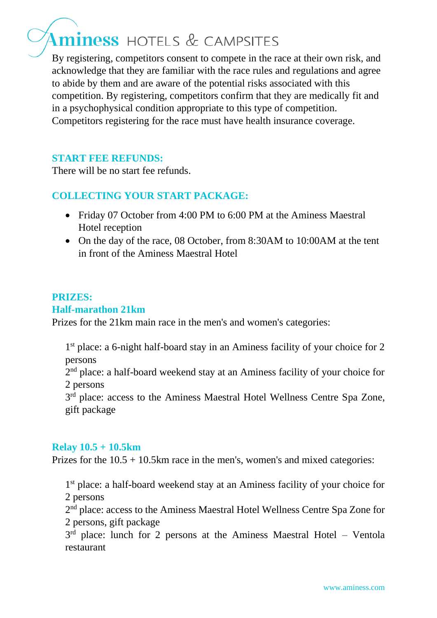By registering, competitors consent to compete in the race at their own risk, and acknowledge that they are familiar with the race rules and regulations and agree to abide by them and are aware of the potential risks associated with this competition. By registering, competitors confirm that they are medically fit and in a psychophysical condition appropriate to this type of competition. Competitors registering for the race must have health insurance coverage.

#### **START FEE REFUNDS:**

There will be no start fee refunds.

#### **COLLECTING YOUR START PACKAGE:**

- Friday 07 October from 4:00 PM to 6:00 PM at the Aminess Maestral Hotel reception
- On the day of the race, 08 October, from 8:30AM to 10:00AM at the tent in front of the Aminess Maestral Hotel

#### **PRIZES:**

#### **Half-marathon 21km**

Prizes for the 21km main race in the men's and women's categories:

1<sup>st</sup> place: a 6-night half-board stay in an Aminess facility of your choice for 2 persons

2<sup>nd</sup> place: a half-board weekend stay at an Aminess facility of your choice for 2 persons

3<sup>rd</sup> place: access to the Aminess Maestral Hotel Wellness Centre Spa Zone, gift package

#### **Relay 10.5 + 10.5km**

Prizes for the  $10.5 + 10.5$ km race in the men's, women's and mixed categories:

1<sup>st</sup> place: a half-board weekend stay at an Aminess facility of your choice for 2 persons

2<sup>nd</sup> place: access to the Aminess Maestral Hotel Wellness Centre Spa Zone for 2 persons, gift package

3<sup>rd</sup> place: lunch for 2 persons at the Aminess Maestral Hotel – Ventola restaurant